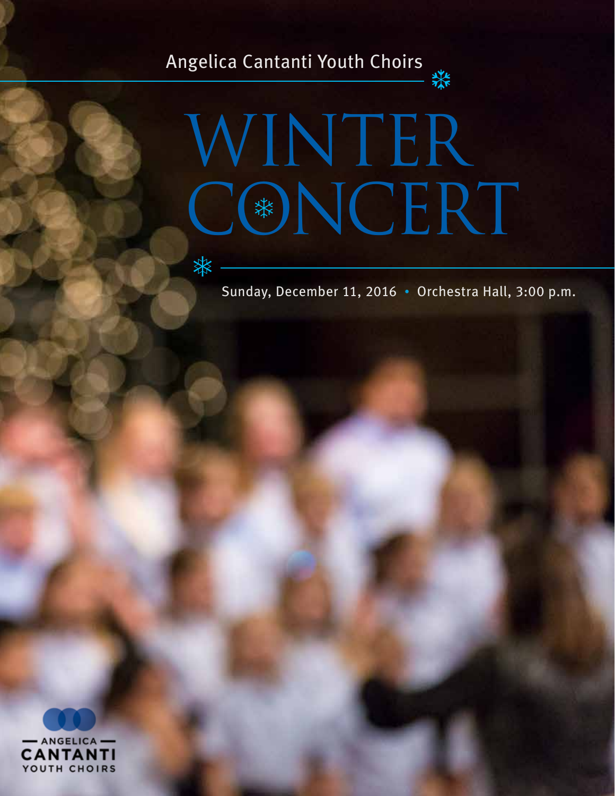# Angelica Cantanti Youth Choirs

❅

# WINTER CONCERT

Sunday, December 11, 2016 • Orchestra Hall, 3:00 p.m.

❆

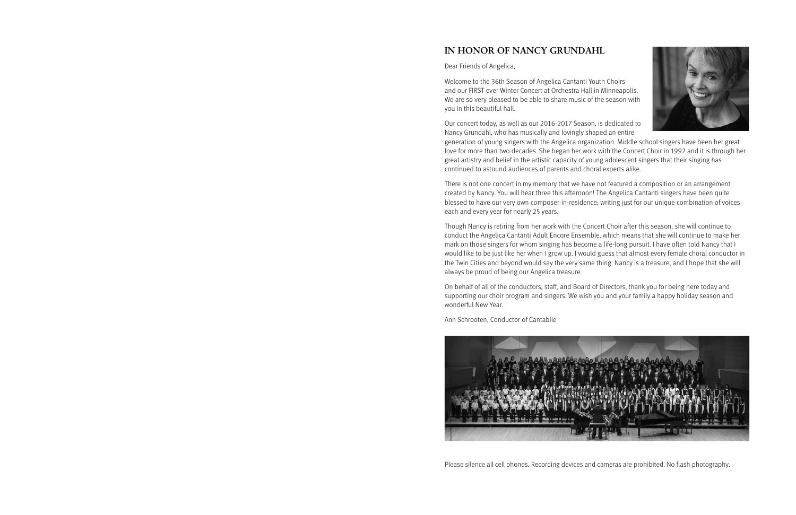# **IN HONOR OF NANCY GRUNDAHL**

# Dear Friends of Angelica,

Welcome to the 36th Season of Angelica Cantanti Youth Choirs and our FIRST ever Winter Concert at Orchestra Hall in Minneapolis. We are so very pleased to be able to share music of the season with you in this beautiful hall.

Our concert today, as well as our 2016-2017 Season, is dedicated to Nancy Grundahl, who has musically and lovingly shaped an entire generation of young singers with the Angelica organization. Middle school singers have been her great love for more than two decades. She began her work with the Concert Choir in 1992 and it is through her great artistry and belief in the artistic capacity of young adolescent singers that their singing has continued to astound audiences of parents and choral experts alike.

There is not one concert in my memory that we have not featured a composition or an arrangement created by Nancy. You will hear three this afternoon! The Angelica Cantanti singers have been quite blessed to have our very own composer-in-residence; writing just for our unique combination of voices each and every year for nearly 25 years.

Though Nancy is retiring from her work with the Concert Choir after this season, she will continue to conduct the Angelica Cantanti Adult Encore Ensemble, which means that she will continue to make her mark on those singers for whom singing has become a life-long pursuit. I have often told Nancy that I would like to be just like her when I grow up. I would guess that almost every female choral conductor in the Twin Cities and beyond would say the very same thing. Nancy is a treasure, and I hope that she will always be proud of being our Angelica treasure.

On behalf of all of the conductors, staff, and Board of Directors, thank you for being here today and supporting our choir program and singers. We wish you and your family a happy holiday season and wonderful New Year.

Ann Schrooten, Conductor of Cantabile



Please silence all cell phones. Recording devices and cameras are prohibited. No flash photography.

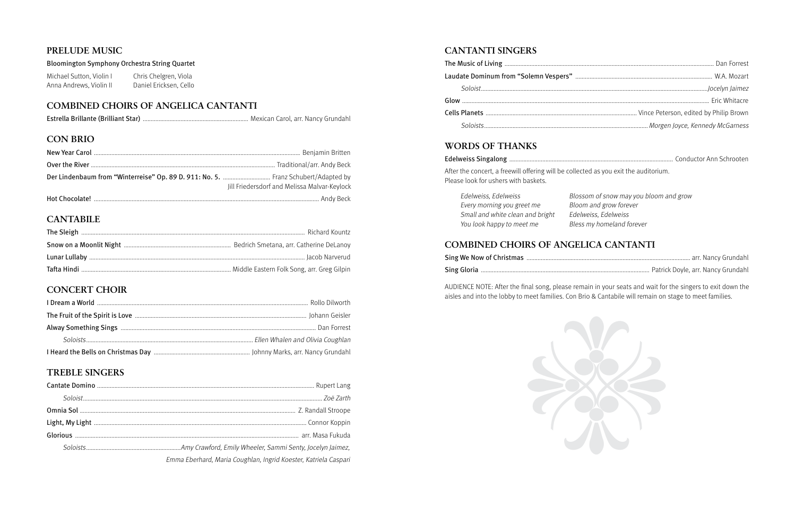# **CANTANTI SINGERS**

# **WORDS OF THANKS**

Edelweiss Singalong ........................................................................................................ Conductor Ann Schrooten

Blossom of snow may you bloom and grow Bloom and grow forever Edelweiss, Edelweiss Bless my homeland forever

After the concert, a freewill offering will be collected as you exit the auditorium. Please look for ushers with baskets.

| Edelweiss. Edelweiss             |  |
|----------------------------------|--|
| Every morning you greet me       |  |
| Small and white clean and bright |  |
| You look happy to meet me        |  |

# **COMBINED CHOIRS OF ANGELICA CANTANTI**

Sing We Now of Christmas ........................................................................................................ arr. Nancy Grundahl Sing Gloria ........................................................................................................... Patrick Doyle, arr. Nancy Grundahl

AUDIENCE NOTE: After the final song, please remain in your seats and wait for the singers to exit down the aisles and into the lobby to meet families. Con Brio & Cantabile will remain on stage to meet families.

# **PRELUDE MUSIC**

# Bloomington Symphony Orchestra String Quartet

Michael Sutton, Violin I Chris Chelgren, Viola Anna Andrews, Violin II Daniel Ericksen, Cello

# **COMBINED CHOIRS OF ANGELICA CANTANTI**

Estrella Brillante (Brilliant Star) ................................................................... Mexican Carol, arr. Nancy Grundahl

# **CON BRIO**

| Jill Friedersdorf and Melissa Malvar-Keylock |
|----------------------------------------------|
|                                              |

# **CANTABILE**

# **CONCERT CHOIR**

# **TREBLE SINGERS**

Emma Eberhard, Maria Coughlan, Ingrid Koester, Katriela Caspari

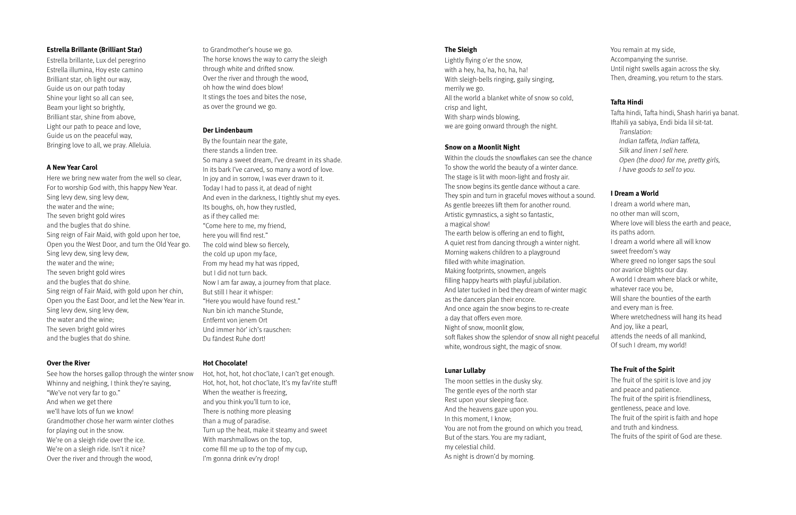# **Estrella Brillante (Brilliant Star)**

Estrella brillante, Lux del peregrino Estrella illumina, Hoy este camino Brilliant star, oh light our way, Guide us on our path today Shine your light so all can see, Beam your light so brightly, Brilliant star, shine from above, Light our path to peace and love, Guide us on the peaceful way, Bringing love to all, we pray. Alleluia.

# **A New Year Carol**

Here we bring new water from the well so clear, For to worship God with, this happy New Year. Sing levy dew, sing levy dew, the water and the wine; The seven bright gold wires and the bugles that do shine. Sing reign of Fair Maid, with gold upon her toe, Open you the West Door, and turn the Old Year go. Sing levy dew, sing levy dew, the water and the wine; The seven bright gold wires and the bugles that do shine. Sing reign of Fair Maid, with gold upon her chin, Open you the East Door, and let the New Year in. Sing levy dew, sing levy dew, the water and the wine; The seven bright gold wires and the bugles that do shine.

# **Over the River**

See how the horses gallop through the winter snow Whinny and neighing, I think they're saying, "We've not very far to go." And when we get there we'll have lots of fun we know! Grandmother chose her warm winter clothes for playing out in the snow. We're on a sleigh ride over the ice. We're on a sleigh ride. Isn't it nice? Over the river and through the wood,

to Grandmother's house we go. The horse knows the way to carry the sleigh through white and drifted snow. Over the river and through the wood, oh how the wind does blow! It stings the toes and bites the nose, as over the ground we go.

# **Der Lindenbaum**

By the fountain near the gate, there stands a linden tree. So many a sweet dream, I've dreamt in its shade. In its bark I've carved, so many a word of love. In joy and in sorrow, I was ever drawn to it. Today I had to pass it, at dead of night And even in the darkness, I tightly shut my eyes. Its boughs, oh, how they rustled, as if they called me: "Come here to me, my friend, here you will find rest." The cold wind blew so fiercely, the cold up upon my face, From my head my hat was ripped, but I did not turn back. Now I am far away, a journey from that place. But still I hear it whisper: "Here you would have found rest." Nun bin ich manche Stunde, Entfernt von jenem Ort Und immer hör' ich's rauschen: Du fändest Ruhe dort!

# **Hot Chocolate!**

Hot, hot, hot, hot choc'late, I can't get enough. Hot, hot, hot, hot choc'late, It's my fav'rite stuff! When the weather is freezing, and you think you'll turn to ice, There is nothing more pleasing than a mug of paradise. Turn up the heat, make it steamy and sweet With marshmallows on the top, come fill me up to the top of my cup, I'm gonna drink ev'ry drop!

# **The Sleigh**

Lightly flying o'er the snow, with a hey, ha, ha, ho, ha, ha! With sleigh-bells ringing, gaily singing, merrily we go. All the world a blanket white of snow so cold, crisp and light, With sharp winds blowing, we are going onward through the night.

# **Snow on a Moonlit Night**

Within the clouds the snowflakes can see the chance To show the world the beauty of a winter dance. The stage is lit with moon-light and frosty air. The snow begins its gentle dance without a care. They spin and turn in graceful moves without a sound. As gentle breezes lift them for another round. Artistic gymnastics, a sight so fantastic, a magical show! The earth below is offering an end to flight, A quiet rest from dancing through a winter night. Morning wakens children to a playground filled with white imagination. Making footprints, snowmen, angels filling happy hearts with playful jubilation. And later tucked in bed they dream of winter magic as the dancers plan their encore. And once again the snow begins to re-create a day that offers even more. Night of snow, moonlit glow, soft flakes show the splendor of snow all night peace white, wondrous sight, the magic of snow.

# **Lunar Lullaby**

The moon settles in the dusky sky. The gentle eyes of the north star Rest upon your sleeping face. And the heavens gaze upon you. In this moment, I know; You are not from the ground on which you tread, But of the stars. You are my radiant, my celestial child. As night is drown'd by morning.

You remain at my side, Accompanying the sunrise. Until night swells again across the sky. Then, dreaming, you return to the stars.

# **Tafta Hindi**

Tafta hindi, Tafta hindi, Shash hariri ya banat. Iftahili ya sabiya, Endi bida lil sit-tat. Translation: Indian taffeta, Indian taffeta, Silk and linen I sell here. Open (the door) for me, pretty girls, I have goods to sell to you.

# **I Dream a World**

|       | I dream a world where man,                 |
|-------|--------------------------------------------|
|       | no other man will scorn,                   |
|       | Where love will bless the earth and peace, |
|       | its paths adorn.                           |
|       | I dream a world where all will know        |
|       | sweet freedom's way                        |
|       | Where greed no longer saps the soul        |
|       | nor avarice blights our day.               |
|       | A world I dream where black or white,      |
|       | whatever race you be,                      |
|       | Will share the bounties of the earth       |
|       | and every man is free.                     |
|       | Where wretchedness will hang its head      |
|       | And joy, like a pearl,                     |
| ceful | attends the needs of all mankind.          |
|       | Of such I dream, my world!                 |

# **The Fruit of the Spirit**

The fruit of the spirit is love and joy and peace and patience. The fruit of the spirit is friendliness, gentleness, peace and love. The fruit of the spirit is faith and hope and truth and kindness. The fruits of the spirit of God are these.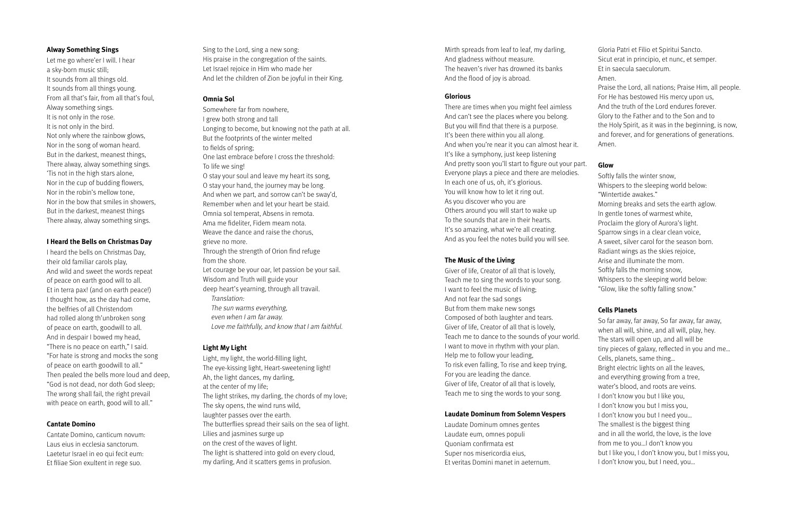# **Alway Something Sings**

Let me go where'er I will. I hear a sky-born music still; It sounds from all things old. It sounds from all things young. From all that's fair, from all that's foul, Alway something sings. It is not only in the rose. It is not only in the bird. Not only where the rainbow glows, Nor in the song of woman heard. But in the darkest, meanest things, There alway, alway something sings. 'Tis not in the high stars alone, Nor in the cup of budding flowers, Nor in the robin's mellow tone, Nor in the bow that smiles in showers, But in the darkest, meanest things There alway, alway something sings.

I heard the bells on Christmas Day, their old familiar carols play, And wild and sweet the words repeat of peace on earth good will to all. Et in terra pax! (and on earth peace!) I thought how, as the day had come, the belfries of all Christendom had rolled along th'unbroken song of peace on earth, goodwill to all. And in despair I bowed my head, "There is no peace on earth," I said. "For hate is strong and mocks the song of peace on earth goodwill to all." Then pealed the bells more loud and deep, "God is not dead, nor doth God sleep; The wrong shall fail, the right prevail with peace on earth, good will to all."

# **I Heard the Bells on Christmas Day**

# **Cantate Domino**

Cantate Domino, canticum novum: Laus eius in ecclesia sanctorum. Laetetur Israel in eo qui fecit eum: Et filiae Sion exultent in rege suo.

Sing to the Lord, sing a new song: His praise in the congregation of the saints. Let Israel rejoice in Him who made her And let the children of Zion be joyful in their King.

#### **Omnia Sol**

Somewhere far from nowhere, I grew both strong and tall Longing to become, but knowing not the path at all. But the footprints of the winter melted to fields of spring; One last embrace before I cross the threshold: To life we sing! O stay your soul and leave my heart its song, O stay your hand, the journey may be long. And when we part, and sorrow can't be sway'd, Remember when and let your heart be staid. Omnia sol temperat, Absens in remota. Ama me fideliter, Fidem meam nota. Weave the dance and raise the chorus, grieve no more. Through the strength of Orion find refuge from the shore. Let courage be your oar, let passion be your sail. Wisdom and Truth will guide your deep heart's yearning, through all travail. Translation: The sun warms everything, even when I am far away. Love me faithfully, and know that I am faithful.

# **Light My Light**

So far away, far away, So far away, far away, when all will, shine, and all will, play, hey. The stars will open up, and all will be tiny pieces of galaxy, reflected in you and me… Cells, planets, same thing… Bright electric lights on all the leaves, and everything growing from a tree, water's blood, and roots are veins. I don't know you but I like you, I don't know you but I miss you, I don't know you but I need you... The smallest is the biggest thing and in all the world, the love, is the love from me to you…I don't know you but I like you, I don't know you, but I miss you, I don't know you, but I need, you...

Light, my light, the world-filling light, The eye-kissing light, Heart-sweetening light! Ah, the light dances, my darling, at the center of my life; The light strikes, my darling, the chords of my love; The sky opens, the wind runs wild, laughter passes over the earth. The butterflies spread their sails on the sea of light. Lilies and jasmines surge up on the crest of the waves of light. The light is shattered into gold on every cloud, my darling, And it scatters gems in profusion.

Mirth spreads from leaf to leaf, my darling, And gladness without measure. The heaven's river has drowned its banks And the flood of joy is abroad.

# **Glorious**

There are times when you might feel aimless And can't see the places where you belong. But you will find that there is a purpose. It's been there within you all along. And when you're near it you can almost hear it. It's like a symphony, just keep listening And pretty soon you'll start to figure out your part. Everyone plays a piece and there are melodies. In each one of us, oh, it's glorious. You will know how to let it ring out. As you discover who you are Others around you will start to wake up To the sounds that are in their hearts. It's so amazing, what we're all creating. And as you feel the notes build you will see.

# **The Music of the Living**

Giver of life, Creator of all that is lovely, Teach me to sing the words to your song. I want to feel the music of living; And not fear the sad songs But from them make new songs Composed of both laughter and tears. Giver of life, Creator of all that is lovely, Teach me to dance to the sounds of your world. I want to move in rhythm with your plan. Help me to follow your leading, To risk even falling, To rise and keep trying, For you are leading the dance. Giver of life, Creator of all that is lovely, Teach me to sing the words to your song.

# **Laudate Dominum from Solemn Vespers**

Laudate Dominum omnes gentes Laudate eum, omnes populi Quoniam confirmata est Super nos misericordia eius, Et veritas Domini manet in aeternum. Gloria Patri et Filio et Spiritui Sancto. Sicut erat in principio, et nunc, et semper. Et in saecula saeculorum. Amen. Praise the Lord, all nations; Praise Him, all people. For He has bestowed His mercy upon us, And the truth of the Lord endures forever. Glory to the Father and to the Son and to the Holy Spirit, as it was in the beginning, is now, and forever, and for generations of generations. Amen.

# **Glow**

Softly falls the winter snow, Whispers to the sleeping world below: "Wintertide awakes." Morning breaks and sets the earth aglow. In gentle tones of warmest white, Proclaim the glory of Aurora's light. Sparrow sings in a clear clean voice, A sweet, silver carol for the season born. Radiant wings as the skies rejoice, Arise and illuminate the morn. Softly falls the morning snow, Whispers to the sleeping world below: "Glow, like the softly falling snow."

# **Cells Planets**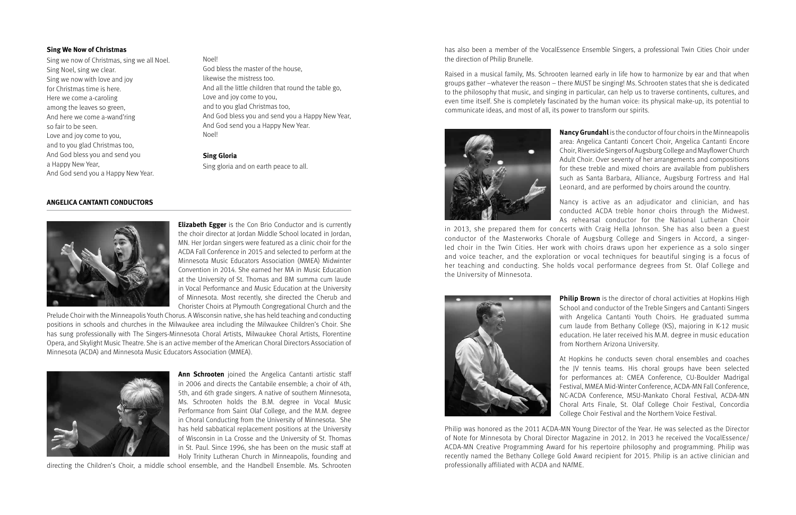**Elizabeth Egger** is the Con Brio Conductor and is currently the choir director at Jordan Middle School located in Jordan, MN. Her Jordan singers were featured as a clinic choir for the ACDA Fall Conference in 2015 and selected to perform at the Minnesota Music Educators Association (MMEA) Midwinter Convention in 2014. She earned her MA in Music Education at the University of St. Thomas and BM summa cum laude in Vocal Performance and Music Education at the University of Minnesota. Most recently, she directed the Cherub and Chorister Choirs at Plymouth Congregational Church and the

Prelude Choir with the Minneapolis Youth Chorus. A Wisconsin native, she has held teaching and conducting positions in schools and churches in the Milwaukee area including the Milwaukee Children's Choir. She has sung professionally with The Singers-Minnesota Choral Artists, Milwaukee Choral Artists, Florentine Opera, and Skylight Music Theatre. She is an active member of the American Choral Directors Association of Minnesota (ACDA) and Minnesota Music Educators Association (MMEA).



**Ann Schrooten** joined the Angelica Cantanti artistic staff in 2006 and directs the Cantabile ensemble; a choir of 4th, 5th, and 6th grade singers. A native of southern Minnesota, Ms. Schrooten holds the B.M. degree in Vocal Music Performance from Saint Olaf College, and the M.M. degree in Choral Conducting from the University of Minnesota. She has held sabbatical replacement positions at the University of Wisconsin in La Crosse and the University of St. Thomas in St. Paul. Since 1996, she has been on the music staff at Holy Trinity Lutheran Church in Minneapolis, founding and

directing the Children's Choir, a middle school ensemble, and the Handbell Ensemble. Ms. Schrooten

# **Sing We Now of Christmas**

**Philip Brown** is the director of choral activities at Hopkins High School and conductor of the Treble Singers and Cantanti Singers with Angelica Cantanti Youth Choirs. He graduated summa cum laude from Bethany College (KS), majoring in K-12 music education. He later received his M.M. degree in music education from Northern Arizona University.

Sing we now of Christmas, sing we all Noel. Sing Noel, sing we clear. Sing we now with love and joy for Christmas time is here. Here we come a-caroling among the leaves so green, And here we come a-wand'ring so fair to be seen. Love and joy come to you, and to you glad Christmas too, And God bless you and send you a Happy New Year, And God send you a Happy New Year.

## Noel!

God bless the master of the house, likewise the mistress too. And all the little children that round the table go, Love and joy come to you, and to you glad Christmas too, And God bless you and send you a Happy New Year, And God send you a Happy New Year. Noel!

# **Sing Gloria**

Sing gloria and on earth peace to all.

**Nancy Grundahl** is the conductor of four choirs in the Minneapolis area: Angelica Cantanti Concert Choir, Angelica Cantanti Encore Choir, Riverside Singers of Augsburg College and Mayflower Church Adult Choir. Over seventy of her arrangements and compositions for these treble and mixed choirs are available from publishers such as Santa Barbara, Alliance, Augsburg Fortress and Hal Leonard, and are performed by choirs around the country.

Nancy is active as an adjudicator and clinician, and has conducted ACDA treble honor choirs through the Midwest. As rehearsal conductor for the National Lutheran Choir in 2013, she prepared them for concerts with Craig Hella Johnson. She has also been a guest conductor of the Masterworks Chorale of Augsburg College and Singers in Accord, a singerled choir in the Twin Cities. Her work with choirs draws upon her experience as a solo singer and voice teacher, and the exploration or vocal techniques for beautiful singing is a focus of her teaching and conducting. She holds vocal performance degrees from St. Olaf College and the University of Minnesota.



At Hopkins he conducts seven choral ensembles and coaches the JV tennis teams. His choral groups have been selected for performances at: CMEA Conference, CU-Boulder Madrigal Festival, MMEA Mid-Winter Conference, ACDA-MN Fall Conference, NC-ACDA Conference, MSU-Mankato Choral Festival, ACDA-MN Choral Arts Finale, St. Olaf College Choir Festival, Concordia College Choir Festival and the Northern Voice Festival.

Philip was honored as the 2011 ACDA-MN Young Director of the Year. He was selected as the Director of Note for Minnesota by Choral Director Magazine in 2012. In 2013 he received the VocalEssence/ ACDA-MN Creative Programming Award for his repertoire philosophy and programming. Philip was recently named the Bethany College Gold Award recipient for 2015. Philip is an active clinician and professionally affiliated with ACDA and NAfME.

# **ANGELICA CANTANTI CONDUCTORS**



has also been a member of the VocalEssence Ensemble Singers, a professional Twin Cities Choir under the direction of Philip Brunelle.

Raised in a musical family, Ms. Schrooten learned early in life how to harmonize by ear and that when groups gather –whatever the reason – there MUST be singing! Ms. Schrooten states that she is dedicated to the philosophy that music, and singing in particular, can help us to traverse continents, cultures, and even time itself. She is completely fascinated by the human voice: its physical make-up, its potential to communicate ideas, and most of all, its power to transform our spirits.

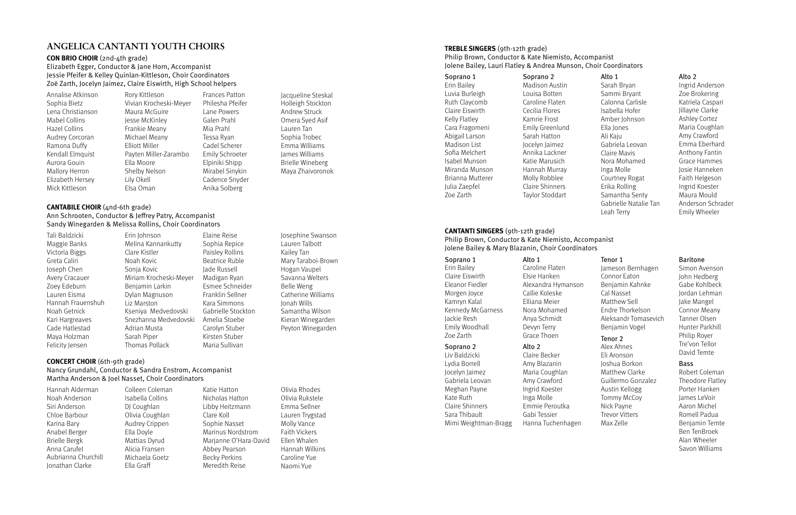# **ANGELICA CANTANTI YOUTH CHOIRS**

#### **CON BRIO CHOIR** (2nd-4th grade)

Elizabeth Egger, Conductor & Jane Horn, Accompanist Jessie Pfeifer & Kelley Quinlan-Kittleson, Choir Coordinators Zoë Zarth, Jocelyn Jaimez, Claire Eiswirth, High School helpers

Annalise Atkinson Sophia Bietz Lena Christianson Mabel Collins Hazel Collins Audrey Corcoran Ramona Duffy Kendall Elmquist Aurora Gouin Mallory Herron Elizabeth Hersey Mick Kittleson

Rory Kittleson Vivian Krocheski-Meyer Maura McGuire Jesse McKinley Frankie Meany Michael Meany Elliott Miller Payten Miller-Zarambo Ella Moore Shelby Nelson Lily Okell Elsa Oman

Frances Patton Philesha Pfeifer Lane Powers Galen Prahl Mia Prahl Tessa Ryan Cadel Scherer Emily Schroeter Elpiniki Shipp Mirabel Sinykin Cadence Snyder Anika Solberg

Jacqueline Steskal Holleigh Stockton Andrew Struck Omera Syed Asif Lauren Tan Sophia Trobec Emma Williams James Williams Brielle Wineberg Maya Zhaivoronok

# **CANTABILE CHOIR** (4nd-6th grade)

# Ann Schrooten, Conductor & Jeffrey Patry, Accompanist Sandy Winegarden & Melissa Rollins, Choir Coordinators

Tali Baldzicki Maggie Banks Victoria Biggs Greta Caliri Joseph Chen Avery Cracauer Zoey Edeburn Lauren Eisma Hannah Frauenshuh Noah Getnick Kari Hargreaves Cade Hatlestad Maya Holzman Felicity Jensen

Erin Johnson

Melina Kannankutty Clare Kistler Noah Kovic Sonja Kovic Miriam Krocheski-Meyer Benjamin Larkin Dylan Magnuson Liz Marston Kseniya Medvedovski Snezhanna Medvedovski Adrian Musta Sarah Piper Thomas Pollack

Elaine Reise Sophia Repice Paisley Rollins Beatrice Ruble Jade Russell Madigan Ryan Esmee Schneider Franklin Sellner Kara Simmons Gabrielle Stockton Amelia Stoebe Carolyn Stuber Kirsten Stuber Maria Sullivan

Josephine Swanson

# Lauren Talbott Kailey Tan Mary Taraboi-Brown Hogan Vaupel Savanna Welters Belle Weng Catherine Williams Jonah Wills Samantha Wilson Kieran Winegarden Peyton Winegarden

# **CONCERT CHOIR** (6th-9th grade)

#### Nancy Grundahl, Conductor & Sandra Enstrom, Accompanist Martha Anderson & Joel Nasset, Choir Coordinators

Hannah Alderman Noah Anderson Siri Anderson Chloe Barbour Karina Bary Anabel Berger Brielle Bergk Anna Carufel Aubrianna Churchill Jonathan Clarke

Colleen Coleman Isabella Collins DJ Coughlan Olivia Coughlan Audrey Crippen Ella Doyle Mattias Dyrud Alicia Fransen Michaela Goetz Ella Graff

Katie Hatton Nicholas Hatton Libby Heitzmann Clare Koll Sophie Nasset Marinus Nordstrom Marjanne O'Hara-David Abbey Pearson Becky Perkins Meredith Reise

Olivia Rhodes Olivia Rukstele Emma Sellner Lauren Trygstad Molly Vance Faith Vickers Ellen Whalen Hannah Wilkins Caroline Yue Naomi Yue

**TREBLE SINGERS** (9th-12th grade) Philip Brown, Conductor & Kate Niemisto, Accompanist Jolene Bailey, Lauri Flatley & Andrea Munson, Choir Coordinators

Soprano 1 Erin Bailey Luvia Burleigh Ruth Claycomb Claire Eiswirth Kelly Flatley Cara Fragomeni Abigail Larson Madison List Sofia Melchert Isabel Munson Miranda Munson Brianna Mutterer Julia Zaepfel Zoe Zarth

Soprano 2 Madison Austin Louisa Botten Caroline Flaten Cecilia Flores Kamrie Frost Emily Greenlund Sarah Hatton Jocelyn Jaimez Annika Lackner Katie Marusich Hannah Murray Molly Robblee Claire Shinners Taylor Stoddart

# Alto 1

Sarah Bryan Sammi Bryant Calonna Carlisle Isabella Hofer Amber Johnson Ella Jones Ali Kaju Gabriela Leovan Claire Mavis Nora Mohamed Inga Molle Courtney Rogat Erika Rolling Samantha Senty Gabrielle Natalie Tan Leah Terry

#### Alto 2

Ingrid Anderson Zoe Brokering Katriela Caspari Jillayne Clarke Ashley Cortez Maria Coughlan Amy Crawford Emma Eberhard Anthony Fantin Grace Hammes Josie Hanneken Faith Helgeson Ingrid Koester Maura Mould Anderson Schrader Emily Wheeler

# **CANTANTI SINGERS** (9th-12th grade)

Philip Brown, Conductor & Kate Niemisto, Accompanist Jolene Bailey & Mary Blazanin, Choir Coordinators

Soprano 1 Erin Bailey Claire Eiswirth Eleanor Fiedler Morgen Joyce Kamryn Kalal Kennedy McGarness Jackie Resh Emily Woodhall Zoe Zarth

# Soprano 2

Liv Baldzicki Lydia Borrell Jocelyn Jaimez Gabriela Leovan Meghan Payne Kate Ruth Claire Shinners Sara Thibault Mimi Weightman-Bragg

#### Alto 1 Caroline Flaten

Elsie Hanken

Alexandra Hymanson

Callie Koleske Elliana Meier Nora Mohamed Anya Schmidt Devyn Terry Grace Thoen

Alto 2 Claire Becker Amy Blazanin Maria Coughlan Amy Crawford Ingrid Koester Inga Molle Emmie Peroutka Gabi Tessier Hanna Tuchenhagen

# Tenor 1 Jameson Bernhagen Connor Eaton Benjamin Kahnke Cal Nasset Matthew Sell Endre Thorkelson Aleksandr Tomasevich Benjamin Vogel

# Tenor 2

Alex Ahnes Eli Aronson Joshua Borkon Matthew Clarke Guillermo Gonzalez Austin Kellogg Tommy McCoy Nick Payne Trevor Vitters Max Zelle

# Baritone

Simon Avenson John Hedberg Gabe Kohlbeck Jordan Lehman Jake Mangel Connor Meany Tanner Olsen Hunter Parkhill Philip Royer Tre'von Tellor David Temte

# Bass

Robert Coleman Theodore Flatley Porter Hanken James LeVoir Aaron Michel Romell Padua Benjamin Temte Ben TenBroek Alan Wheeler Savon Williams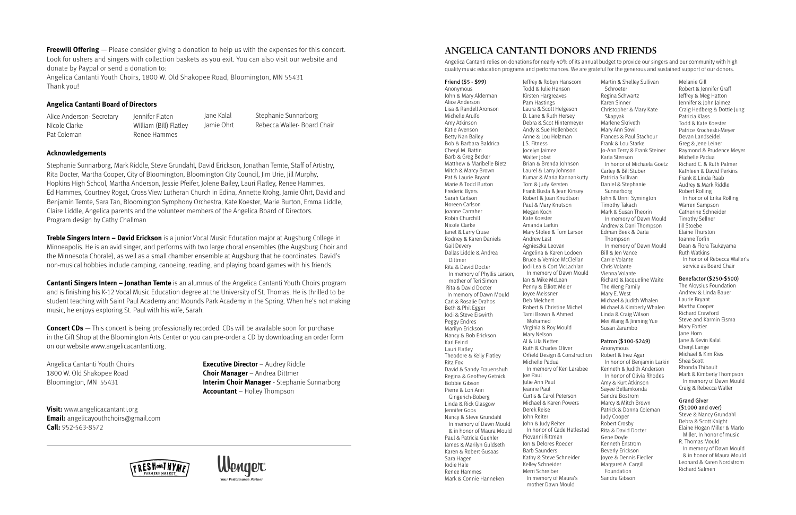**Freewill Offering** – Please consider giving a donation to help us with the expenses for this concert. Look for ushers and singers with collection baskets as you exit. You can also visit our website and donate by Paypal or send a donation to:

Angelica Cantanti Youth Choirs, 1800 W. Old Shakopee Road, Bloomington, MN 55431 Thank you!

# **ANGELICA CANTANTI DONORS AND FRIENDS**

Angelica Cantanti relies on donations for nearly 40% of its annual budget to provide our singers and our community with high quality music education programs and performances. We are grateful for the generous and sustained support of our donors.

Friend (\$5 - \$99) Anonymous John & Mary Alderman Alice Anderson Lisa & Randell Aronson Michelle Arulfo Amy Atkinson Katie Avenson Betty Nan Bailey Bob & Barbara Baldrica Cheryl M. Battin Barb & Greg Becker Matthew & Maribelle Bietz Mitch & Marcy Brown Pat & Laurie Bryant Marie & Todd Burton Frederic Byers Sarah Carlson Noreen Carlson Joanne Carraher Robin Churchill Nicole Clarke Janet & Larry Cruse Rodney & Karen Daniels Gail Devery Dallas Liddle & Andrea Dittmer Rita & David Docter In memory of Phyllis Larson, mother of Teri Simon Rita & David Docter In memory of Dawn Mould Carl & Rosalie Drahos Beth & Phil Egger Jodi & Steve Eiswirth Peggy Endres Marilyn Erickson Nancy & Bob Erickson Karl Feind Lauri Flatley Theodore & Kelly Flatley Rita Fox David & Sandy Frauenshuh Regina & Geoffrey Getnick Bobbie Gibson Pierre & Lori Ann Gingerich-Boberg Linda & Rick Glasgow Jennifer Goos Nancy & Steve Grundahl In memory of Dawn Mould & in honor of Maura Mould Paul & Patricia Guehler James & Marilyn Guldseth Karen & Robert Gusaas Sara Hagen Jodie Hale Renee Hammes Mark & Connie Hanneken

Jeffrey & Robyn Hanscom Todd & Julie Hanson Kirsten Hargreaves Pam Hastings Laura & Scott Helgeson D. Lane & Ruth Hersey Debra & Scot Hintermeyer Andy & Sue Hollenbeck Anne & Lou Holzman J.S. Fitness Jocelyn Jaimez Walter Jobst Brian & Brenda Johnson Laurel & Larry Johnson Kumar & Maria Kannankutty Tom & Judy Kersten Frank Busta & Jean Kinsey Robert & Joan Knudtson Paul & Mary Knutson Megan Koch Kate Koester Amanda Larkin Mary Stolee & Tom Larson Andrew Last Agnieszka Leovan Angelina & Karen Lodoen Bruce & Vernice McClellan Jodi Lea & Cort McLachlan In memory of Dawn Mould Jan & Mike McLean Penny & Elliott Meier Joyce Meissner Deb Melchert Robert & Christine Michel Tami Brown & Ahmed Mohamed Virginia & Roy Mould Mary Nelson Al & Lila Netten Ruth & Charles Oliver Orfield Design & Construction Michelle Padua In memory of Ken Larabee Joe Paul Julie Ann Paul Jeanne Paul Curtis & Carol Peterson Michael & Karen Powers Derek Reise John Reiter John & Judy Reiter In honor of Cade Hatlestad Piovanni Rittman Jon & Delores Roeder Barb Saunders Kathy & Steve Schneider Kelley Schneider Merri Schreiber In memory of Maura's mother Dawn Mould

Martin & Shelley Sullivan Schroeter Regina Schwartz Karen Sinner Christopher & Mary Kate Skapyak Marlene Skriveth Mary Ann Sowl Frances & Paul Stachour Frank & Lou Starke Jo-Ann Terry & Frank Steiner Karla Stenson In honor of Michaela Goetz Carley & Bill Stuber Patricia Sullivan Daniel & Stephanie Sunnarborg John & Unni Symington Timothy Takach Mark & Susan Theorin In memory of Dawn Mould Andrew & Dani Thompson Edman Beek & Darla Thompson In memory of Dawn Mould Bill & Jen Vance Carrie Volante Chris Volante Vienna Volante Richard & Jacqueline Waite The Weng Family Mary E. West Michael & Judith Whalen Michael & Kimberly Whalen Linda & Craig Wilson Mei Wang & Jinming Yue Susan Zarambo

#### Patron (\$100-\$249)

| Anonymous                   |
|-----------------------------|
| Robert & Inez Agar          |
| In honor of Benjamin Larkin |
| Kenneth & Judith Anderson   |
| In honor of Olivia Rhodes   |
| Amy & Kurt Atkinson         |
| Sayee Bellamkonda           |
| Sandra Bostrom              |
| Marcy & Mitch Brown         |
| Patrick & Donna Coleman     |
| Judy Cooper                 |
| Robert Crosby               |
| Rita & David Docter         |
| Gene Doyle                  |
| Kenneth Enstrom             |
| Beverly Erickson            |
| Joyce & Dennis Fiedler      |
| Margaret A. Cargill         |
| Foundation                  |
| Sandra Gibson               |
|                             |

Melanie Gill Robert & Jennifer Graff Jeffrey & Meg Hatton Jennifer & John Jaimez Craig Hedberg & Dottie Jung Patricia Klass Todd & Kate Koester Patrice Krocheski-Meyer Devan Landseidel Greg & Jene Leiner Raymond & Prudence Meyer Michelle Padua Richard C. & Ruth Palmer Kathleen & David Perkins Frank & Linda Raab Audrey & Mark Riddle Robert Rolling In honor of Erika Rolling Warren Sampson Catherine Schneider Timothy Sellner Jill Stoebe Elaine Thurston Joanne Torfin Dean & Flora Tsukayama Ruth Watkins In honor of Rebecca Waller's service as Board Chair

#### Benefactor (\$250-\$500)

The Aloysius Foundation Andrew & Linda Bauer Laurie Bryant Martha Cooper Richard Crawford Steve and Karmin Eisma Mary Fortier Jane Horn Jane & Kevin Kalal Cheryl Lange Michael & Kim Ries Shea Scott Rhonda Thibault Mark & Kimberly Thompson In memory of Dawn Mould Craig & Rebecca Waller

#### Grand Giver (\$1000 and over)

Steve & Nancy Grundahl Debra & Scott Knight Elaine Hogan Miller & Marlo Miller, In honor of music R. Thomas Mould In memory of Dawn Mould & in honor of Maura Mould Leonard & Karen Nordstrom

Richard Salmen

# **Angelica Cantanti Board of Directors**

Alice Anderson- Secretary Nicole Clarke Pat Coleman

Jennifer Flaten William (Bill) Flatley Renee Hammes

Jane Kalal Jamie Ohrt

Stephanie Sunnarborg Rebecca Waller- Board Chair

# **Acknowledgements**

Stephanie Sunnarborg, Mark Riddle, Steve Grundahl, David Erickson, Jonathan Temte, Staff of Artistry, Rita Docter, Martha Cooper, City of Bloomington, Bloomington City Council, Jim Urie, Jill Murphy, Hopkins High School, Martha Anderson, Jessie Pfeifer, Jolene Bailey, Lauri Flatley, Renee Hammes, Ed Hammes, Courtney Rogat, Cross View Lutheran Church in Edina, Annette Krohg, Jamie Ohrt, David and Benjamin Temte, Sara Tan, Bloomington Symphony Orchestra, Kate Koester, Marie Burton, Emma Liddle, Claire Liddle, Angelica parents and the volunteer members of the Angelica Board of Directors. Program design by Cathy Challman

**Treble Singers Intern – David Erickson** is a junior Vocal Music Education major at Augsburg College in Minneapolis. He is an avid singer, and performs with two large choral ensembles (the Augsburg Choir and the Minnesota Chorale), as well as a small chamber ensemble at Augsburg that he coordinates. David's non-musical hobbies include camping, canoeing, reading, and playing board games with his friends.

**Cantanti Singers Intern – Jonathan Temte** is an alumnus of the Angelica Cantanti Youth Choirs program and is finishing his K-12 Vocal Music Education degree at the University of St. Thomas. He is thrilled to be student teaching with Saint Paul Academy and Mounds Park Academy in the Spring. When he's not making music, he enjoys exploring St. Paul with his wife, Sarah.

**Concert CDs** — This concert is being professionally recorded. CDs will be available soon for purchase in the Gift Shop at the Bloomington Arts Center or you can pre-order a CD by downloading an order form on our website www.angelicacantanti.org.

Angelica Cantanti Youth Choirs **Executive Director** – Audrey Riddle 1800 W. Old Shakopee Road **Choir Manager** – Andrea Dittmer Bloomington, MN 55431 **Interim Choir Manager** - Stephanie Sunnarborg **Accountant** – Holley Thompson





**Visit:** www.angelicacantanti.org **Email:** angelicayouthchoirs@gmail.com **Call:** 952-563-8572